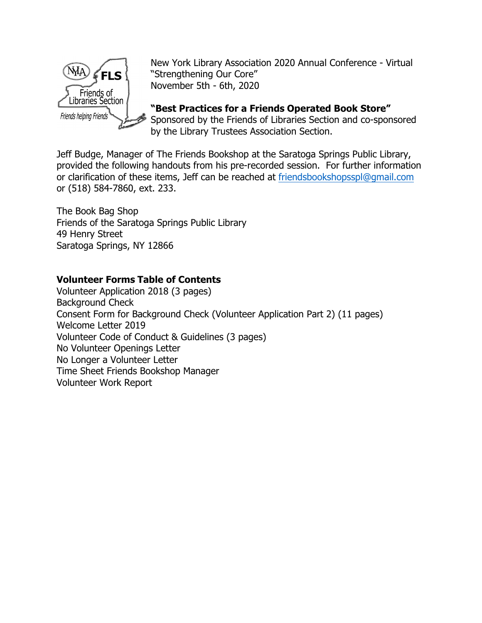

New York Library Association 2020 Annual Conference - Virtual "Strengthening Our Core" November 5th - 6th, 2020

**"Best Practices for a Friends Operated Book Store"**  Sponsored by the Friends of Libraries Section and co-sponsored by the Library Trustees Association Section.

Jeff Budge, Manager of The Friends Bookshop at the Saratoga Springs Public Library, provided the following handouts from his pre-recorded session. For further information or clarification of these items, Jeff can be reached at [friendsbookshopsspl@gmail.com](mailto:friendsbookshopsspl@gmail.com) or (518) 584-7860, ext. 233.

The Book Bag Shop Friends of the Saratoga Springs Public Library 49 Henry Street Saratoga Springs, NY 12866

#### **Volunteer Forms Table of Contents**

Volunteer Application 2018 (3 pages) Background Check Consent Form for Background Check (Volunteer Application Part 2) (11 pages) Welcome Letter 2019 Volunteer Code of Conduct & Guidelines (3 pages) No Volunteer Openings Letter No Longer a Volunteer Letter Time Sheet Friends Bookshop Manager Volunteer Work Report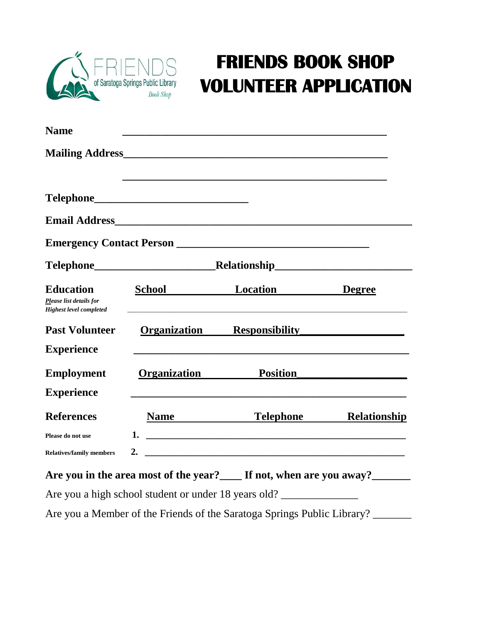

# **FRIENDS BOOK SHOP VOLUNTEER APPLICATION**

| <b>Name</b>                                                            |              | <u> 1980 - Johann Barbara, martxa alemaniar arg</u>                                      |                     |
|------------------------------------------------------------------------|--------------|------------------------------------------------------------------------------------------|---------------------|
|                                                                        |              |                                                                                          |                     |
|                                                                        |              |                                                                                          |                     |
|                                                                        |              |                                                                                          |                     |
|                                                                        |              |                                                                                          |                     |
|                                                                        |              |                                                                                          |                     |
|                                                                        |              |                                                                                          |                     |
| <b>Education</b><br>Please list details for<br>Highest level completed |              | School Location Degree<br><u> 1989 - Johann Barbara, margaret eta idazlea (h. 1989).</u> |                     |
| <b>Past Volunteer</b>                                                  | Organization | <b>Responsibility</b>                                                                    |                     |
| <b>Experience</b>                                                      |              |                                                                                          |                     |
| <b>Employment</b>                                                      | Organization | <b>Position</b>                                                                          |                     |
| <b>Experience</b>                                                      |              |                                                                                          |                     |
| <b>References</b>                                                      | <b>Name</b>  | <b>Telephone</b>                                                                         | <b>Relationship</b> |
| Please do not use                                                      | 1.           |                                                                                          |                     |
| <b>Relatives/family members</b>                                        | 2.           |                                                                                          |                     |
|                                                                        |              | Are you in the area most of the year? If not, when are you away?                         |                     |
|                                                                        |              | Are you a high school student or under 18 years old?                                     |                     |
|                                                                        |              | Are you a Member of the Friends of the Saratoga Springs Public Library?                  |                     |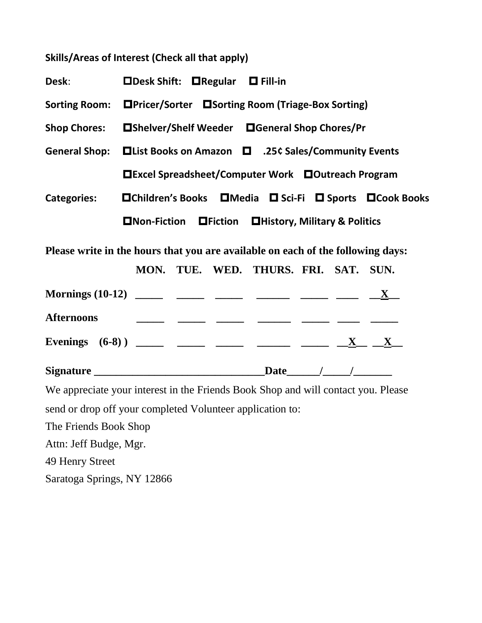**Skills/Areas of Interest (Check all that apply)**

| Desk:                | $\Box$ Desk Shift: $\Box$ Regular $\Box$ Fill-in                                                                                                                        |
|----------------------|-------------------------------------------------------------------------------------------------------------------------------------------------------------------------|
|                      | Sorting Room: □Pricer/Sorter □Sorting Room (Triage-Box Sorting)                                                                                                         |
| <b>Shop Chores:</b>  | <b>□Shelver/Shelf Weeder</b> □General Shop Chores/Pr                                                                                                                    |
| <b>General Shop:</b> | <b>Example 1 Direct</b> 25¢ Sales/Community Events                                                                                                                      |
|                      | <b>□Excel Spreadsheet/Computer Work</b> □Outreach Program                                                                                                               |
| <b>Categories:</b>   | <b>Onlight Children's Books ONEGIA ONEGIA ONEGIA ONEGIA ONEGIA ONEGIA ONEGIA ONEGIA ONEGIA ONEGIA ONEGIA ONEGIA ONEGIA ONEGIA ONEGIA ONEGIA ONEGIA ONEGIA ONEGIA ON</b> |
|                      | <b>□Non-Fiction</b><br>$\blacksquare$ Fiction<br><b>OHistory, Military &amp; Politics</b>                                                                               |

**Please write in the hours that you are available on each of the following days:**

 **MON. TUE. WED. THURS. FRI. SAT. SUN.**

| Mornings $(10-12)$ ______ _____ ______ _____ _____ |             |
|----------------------------------------------------|-------------|
| <b>Afternoons</b>                                  |             |
| Evenings $(6-8)$ ) ______ _____ _____ _____ _____  | $X = X$     |
| <b>Signature</b>                                   | <b>Date</b> |

We appreciate your interest in the Friends Book Shop and will contact you. Please send or drop off your completed Volunteer application to:

The Friends Book Shop

Attn: Jeff Budge, Mgr.

49 Henry Street

Saratoga Springs, NY 12866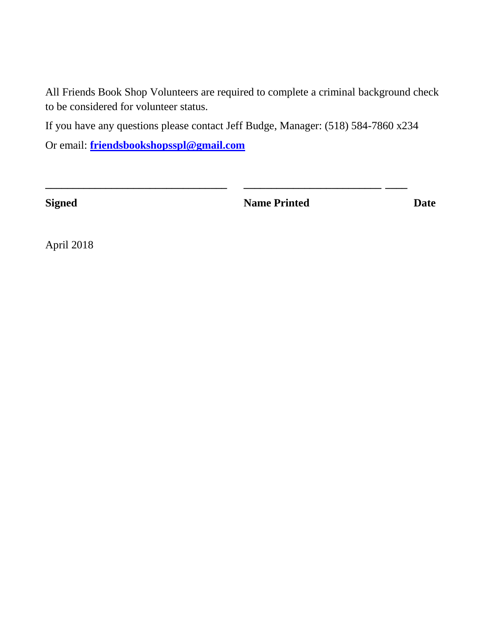All Friends Book Shop Volunteers are required to complete a criminal background check to be considered for volunteer status.

If you have any questions please contact Jeff Budge, Manager: (518) 584-7860 x234

**\_\_\_\_\_\_\_\_\_\_\_\_\_\_\_\_\_\_\_\_\_\_\_\_\_\_\_\_\_\_\_\_\_ \_\_\_\_\_\_\_\_\_\_\_\_\_\_\_\_\_\_\_\_\_\_\_\_\_ \_\_\_\_**

Or email: **[friendsbookshopsspl@gmail.com](mailto:friendsbookshopsspl@gmail.com)**

**Signed Name Printed Date**

April 2018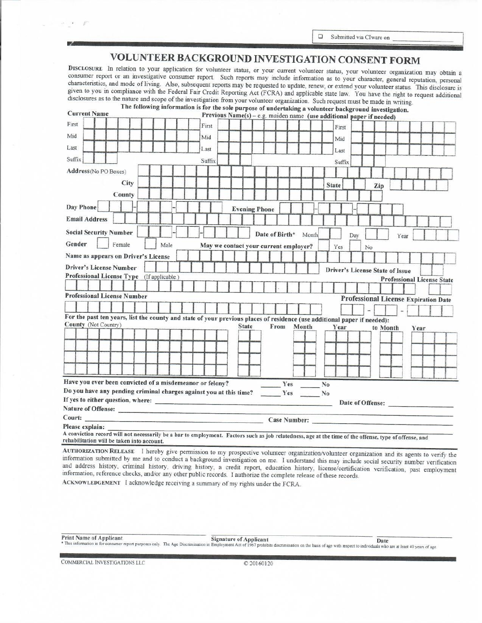$\Box$ Submitted via CIware on

## VOLUNTEER BACKGROUND INVESTIGATION CONSENT FORM

DISCLOSURE In relation to your application for volunteer status, or your current volunteer status, your volunteer organization may obtain a consumer report or an investigative consumer report. Such reports may include information as to your character, general reputation, personal characteristics, and mode of living. Also, subsequent reports may be requested to update, renew, or extend your volunteer status. This disclosure is given to you in compliance with the Federal Fair Credit Reporting Act (FCRA) and applicable state law. You have the right to request additional disclosures as to the nature and scope of the investigation from your volunteer organization. Such request must be made in writing. The following information!

| <b>Current Name</b>                                                                                                                                    | The following information is for the sole purpose of undertaking a volunteer background investigation.<br>Previous Name(s) - e.g. maiden name (use additional paper if needed) |                                                                      |
|--------------------------------------------------------------------------------------------------------------------------------------------------------|--------------------------------------------------------------------------------------------------------------------------------------------------------------------------------|----------------------------------------------------------------------|
| First                                                                                                                                                  | First                                                                                                                                                                          | First                                                                |
| Mid                                                                                                                                                    | Mid                                                                                                                                                                            | Mid                                                                  |
| Last                                                                                                                                                   | Last                                                                                                                                                                           | Last                                                                 |
| Suffix                                                                                                                                                 | Suffix                                                                                                                                                                         | Suffix                                                               |
| Address(No PO Boxes)                                                                                                                                   |                                                                                                                                                                                |                                                                      |
| City                                                                                                                                                   |                                                                                                                                                                                | <b>State</b><br>Zip                                                  |
| County                                                                                                                                                 |                                                                                                                                                                                |                                                                      |
| Day Phone                                                                                                                                              | <b>Evening Phone</b>                                                                                                                                                           |                                                                      |
| <b>Email Address</b>                                                                                                                                   |                                                                                                                                                                                |                                                                      |
| <b>Social Security Number</b>                                                                                                                          | Date of Birth*                                                                                                                                                                 | Month                                                                |
| Gender<br>Female<br>Male                                                                                                                               | May we contact your current employer?                                                                                                                                          | Day<br>Year                                                          |
| Name as appears on Driver's License                                                                                                                    |                                                                                                                                                                                | Yes<br>N <sub>0</sub>                                                |
| <b>Driver's License Number</b>                                                                                                                         |                                                                                                                                                                                |                                                                      |
| Professional License Type (If applicable.)                                                                                                             |                                                                                                                                                                                | Driver's License State of Issue<br><b>Professional License State</b> |
|                                                                                                                                                        |                                                                                                                                                                                |                                                                      |
| <b>Professional License Number</b>                                                                                                                     |                                                                                                                                                                                | <b>Professional License Expiration Date</b>                          |
|                                                                                                                                                        |                                                                                                                                                                                |                                                                      |
| For the past ten years, list the county and state of your previous places of residence (use additional paper if needed):                               |                                                                                                                                                                                |                                                                      |
| County (Not Country)                                                                                                                                   | <b>State</b><br>From<br>Month                                                                                                                                                  | Year<br>to Month<br>Year                                             |
|                                                                                                                                                        |                                                                                                                                                                                |                                                                      |
|                                                                                                                                                        |                                                                                                                                                                                |                                                                      |
|                                                                                                                                                        |                                                                                                                                                                                |                                                                      |
|                                                                                                                                                        |                                                                                                                                                                                |                                                                      |
|                                                                                                                                                        |                                                                                                                                                                                |                                                                      |
| Have you ever been convicted of a misdemeanor or felony?                                                                                               | Yes                                                                                                                                                                            | N <sub>0</sub>                                                       |
| Do you have any pending criminal charges against you at this time? _____ Yes                                                                           |                                                                                                                                                                                | N <sub>0</sub>                                                       |
| If yes to either question, where:                                                                                                                      |                                                                                                                                                                                | Date of Offense:                                                     |
| Nature of Offense:                                                                                                                                     |                                                                                                                                                                                |                                                                      |
| Court:                                                                                                                                                 | <b>Case Number:</b> Case Number:                                                                                                                                               |                                                                      |
| Please explain:                                                                                                                                        |                                                                                                                                                                                |                                                                      |
| A conviction record will not necessarily be a bar to employment. Factors such as job relatedness, age at the time of the offense, type of offense, and |                                                                                                                                                                                |                                                                      |
| rehabilitation will be taken into account.                                                                                                             |                                                                                                                                                                                |                                                                      |

AUTHORIZATION RELEASE I hereby give permission to my prospective volunteer organization/volunteer organization and its agents to verify the information submitted by me and to conduct a background investigation on me. I understand this may include social security number verification and address history, criminal history, driving history, a credit report, education history, license/certification verification, past employment information, reference checks, and/or any other public records. I authorize the complete release of these records. ACKNOWLEDGEMENT I acknowledge receiving a summary of my rights under the FCRA.

| <b>Print Name of Applicant</b> | <b>Signature of Applicant</b>                                                                                                                                                                                        | Date |
|--------------------------------|----------------------------------------------------------------------------------------------------------------------------------------------------------------------------------------------------------------------|------|
|                                | * This information is for consumer report purposes only. The Age Discrimination in Employment Act of 1967 prohibits discrimination on the basis of age with respect to individuals who are at least 40 years of age. |      |

COMMERCIAL INVESTIGATIONS LLC

- 10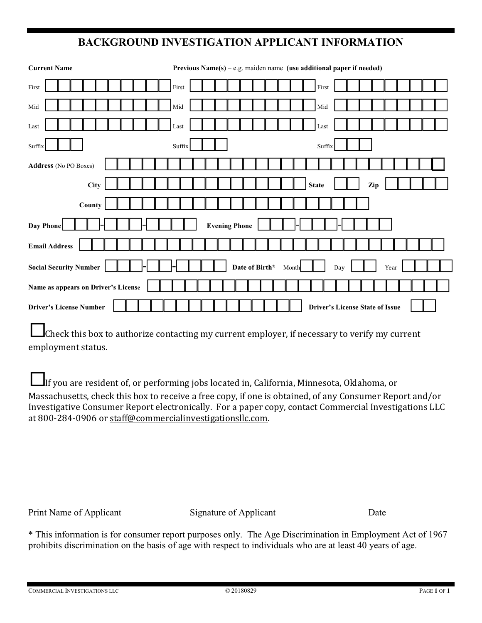#### **BACKGROUND INVESTIGATION APPLICANT INFORMATION**

| <b>Current Name</b>                 | Previous $Name(s) - e.g.$ maiden name (use additional paper if needed) |                                 |
|-------------------------------------|------------------------------------------------------------------------|---------------------------------|
| First                               | $\operatorname{First}$                                                 | $\operatorname{First}$          |
| Mid                                 | Mid                                                                    | Mid                             |
| Last                                | Last                                                                   | Last                            |
| Suffix                              | Suffix                                                                 | Suffix                          |
| <b>Address</b> (No PO Boxes)        |                                                                        |                                 |
| City                                |                                                                        | <b>State</b><br>$\mathbf{Zip}$  |
| County                              |                                                                        |                                 |
| Day Phone                           | <b>Evening Phone</b>                                                   |                                 |
| <b>Email Address</b>                |                                                                        |                                 |
| <b>Social Security Number</b>       | Date of Birth*<br>Month                                                | Day<br>Year                     |
| Name as appears on Driver's License |                                                                        |                                 |
| <b>Driver's License Number</b>      |                                                                        | Driver's License State of Issue |

䕕Check this box to authorize contacting my current employer, if necessary to verify my current employment status.

䕕If you are resident of, or performing jobs located in, California, Minnesota, Oklahoma, or Massachusetts, check this box to receive a free copy, if one is obtained, of any Consumer Report and/or Investigative Consumer Report electronically. For a paper copy, contact Commercial Investigations LLC at 800-284-0906 or staff@commercialinvestigationsllc.com.

Print Name of Applicant Signature of Applicant Date

\_\_\_\_\_\_\_\_\_\_\_\_\_\_\_\_\_\_\_\_\_\_\_\_\_\_\_\_\_\_\_\_\_\_\_\_\_\_\_\_\_\_\_\_ \_\_\_\_\_\_\_\_\_\_\_\_\_\_\_\_\_\_\_\_\_\_\_\_\_\_\_\_\_\_\_\_\_\_\_\_\_\_\_\_\_\_\_\_\_\_\_\_\_ \_\_\_\_\_\_\_\_\_\_\_\_\_\_\_\_\_\_\_\_\_\_\_

\* This information is for consumer report purposes only. The Age Discrimination in Employment Act of 1967 prohibits discrimination on the basis of age with respect to individuals who are at least 40 years of age.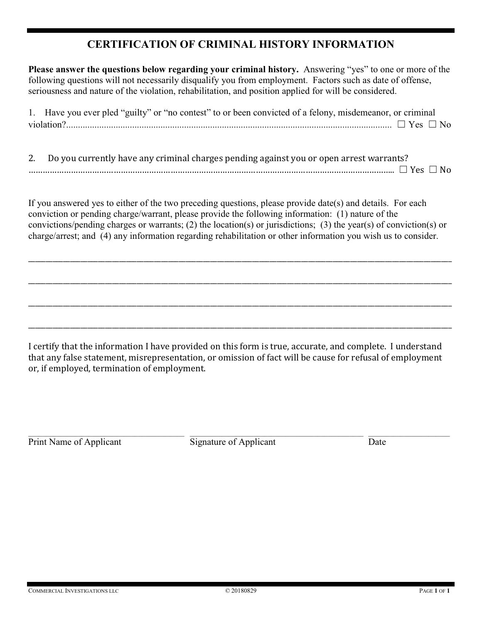#### **CERTIFICATION OF CRIMINAL HISTORY INFORMATION**

**Please answer the questions below regarding your criminal history.** Answering "yes" to one or more of the following questions will not necessarily disqualify you from employment. Factors such as date of offense, seriousness and nature of the violation, rehabilitation, and position applied for will be considered.

| 1. Have you ever pled "guilty" or "no contest" to or been convicted of a felony, misdemeanor, or criminal |  |
|-----------------------------------------------------------------------------------------------------------|--|
|                                                                                                           |  |

| 2. Do you currently have any criminal charges pending against you or open arrest warrants? |  |
|--------------------------------------------------------------------------------------------|--|
| $\ldots$ Yes $\Box$ No                                                                     |  |

If you answered yes to either of the two preceding questions, please provide date(s) and details. For each conviction or pending charge/warrant, please provide the following information: (1) nature of the convictions/pending charges or warrants; (2) the location(s) or jurisdictions; (3) the year(s) of conviction(s) or charge/arrest; and (4) any information regarding rehabilitation or other information you wish us to consider.

\_\_\_\_\_\_\_\_\_\_\_\_\_\_\_\_\_\_\_\_\_\_\_\_\_\_\_\_\_\_\_\_\_\_\_\_\_\_\_\_\_\_\_\_\_\_\_\_\_\_\_\_\_\_\_\_\_\_\_\_\_\_\_\_\_\_\_\_\_\_\_\_\_\_\_\_\_\_\_\_\_\_\_\_\_\_\_\_\_\_\_\_\_\_\_\_\_\_\_\_\_\_\_\_\_\_\_\_\_\_\_\_\_\_\_\_\_\_\_\_\_

\_\_\_\_\_\_\_\_\_\_\_\_\_\_\_\_\_\_\_\_\_\_\_\_\_\_\_\_\_\_\_\_\_\_\_\_\_\_\_\_\_\_\_\_\_\_\_\_\_\_\_\_\_\_\_\_\_\_\_\_\_\_\_\_\_\_\_\_\_\_\_\_\_\_\_\_\_\_\_\_\_\_\_\_\_\_\_\_\_\_\_\_\_\_\_\_\_\_\_\_\_\_\_\_\_\_\_\_\_\_\_\_\_\_\_\_\_\_\_\_\_

\_\_\_\_\_\_\_\_\_\_\_\_\_\_\_\_\_\_\_\_\_\_\_\_\_\_\_\_\_\_\_\_\_\_\_\_\_\_\_\_\_\_\_\_\_\_\_\_\_\_\_\_\_\_\_\_\_\_\_\_\_\_\_\_\_\_\_\_\_\_\_\_\_\_\_\_\_\_\_\_\_\_\_\_\_\_\_\_\_\_\_\_\_\_\_\_\_\_\_\_\_\_\_\_\_\_\_\_\_\_\_\_\_\_\_\_\_\_\_\_\_

\_\_\_\_\_\_\_\_\_\_\_\_\_\_\_\_\_\_\_\_\_\_\_\_\_\_\_\_\_\_\_\_\_\_\_\_\_\_\_\_\_\_\_\_\_\_\_\_\_\_\_\_\_\_\_\_\_\_\_\_\_\_\_\_\_\_\_\_\_\_\_\_\_\_\_\_\_\_\_\_\_\_\_\_\_\_\_\_\_\_\_\_\_\_\_\_\_\_\_\_\_\_\_\_\_\_\_\_\_\_\_\_\_\_\_\_\_\_\_\_\_

I certify that the information I have provided on this form is true, accurate, and complete. I understand that any false statement, misrepresentation, or omission of fact will be cause for refusal of employment or, if employed, termination of employment.

|  | Print Name of Applicant |
|--|-------------------------|
|--|-------------------------|

\_\_\_\_\_\_\_\_\_\_\_\_\_\_\_\_\_\_\_\_\_\_\_\_\_\_\_\_\_\_\_\_\_\_\_\_\_\_\_\_\_\_\_\_ \_\_\_\_\_\_\_\_\_\_\_\_\_\_\_\_\_\_\_\_\_\_\_\_\_\_\_\_\_\_\_\_\_\_\_\_\_\_\_\_\_\_\_\_\_\_\_\_\_ \_\_\_\_\_\_\_\_\_\_\_\_\_\_\_\_\_\_\_\_\_\_\_ **Print Name of Applicant Date** Date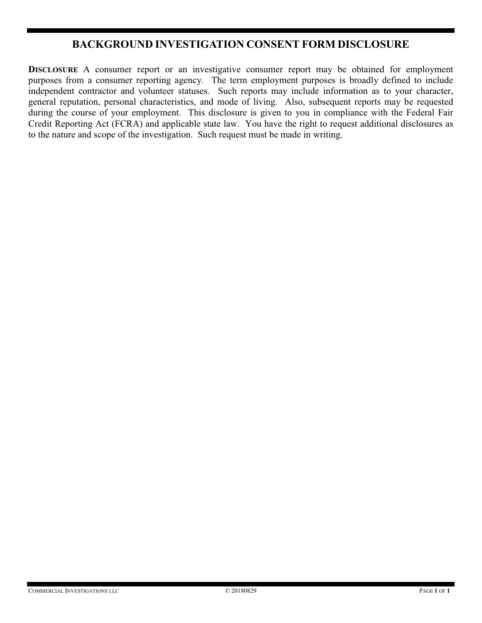#### **BACKGROUND INVESTIGATION CONSENT FORM DISCLOSURE**

**DISCLOSURE** A consumer report or an investigative consumer report may be obtained for employment purposes from a consumer reporting agency. The term employment purposes is broadly defined to include independent contractor and volunteer statuses. Such reports may include information as to your character, general reputation, personal characteristics, and mode of living. Also, subsequent reports may be requested during the course of your employment. This disclosure is given to you in compliance with the Federal Fair Credit Reporting Act (FCRA) and applicable state law. You have the right to request additional disclosures as to the nature and scope of the investigation. Such request must be made in writing.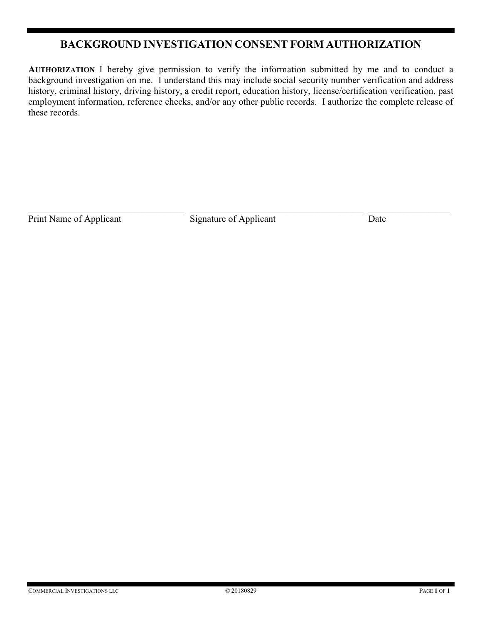#### **BACKGROUND INVESTIGATION CONSENT FORM AUTHORIZATION**

**AUTHORIZATION** I hereby give permission to verify the information submitted by me and to conduct a background investigation on me. I understand this may include social security number verification and address history, criminal history, driving history, a credit report, education history, license/certification verification, past employment information, reference checks, and/or any other public records. I authorize the complete release of these records.

Print Name of Applicant Signature of Applicant Date

\_\_\_\_\_\_\_\_\_\_\_\_\_\_\_\_\_\_\_\_\_\_\_\_\_\_\_\_\_\_\_\_\_\_\_\_\_\_\_\_\_\_\_\_ \_\_\_\_\_\_\_\_\_\_\_\_\_\_\_\_\_\_\_\_\_\_\_\_\_\_\_\_\_\_\_\_\_\_\_\_\_\_\_\_\_\_\_\_\_\_\_\_\_ \_\_\_\_\_\_\_\_\_\_\_\_\_\_\_\_\_\_\_\_\_\_\_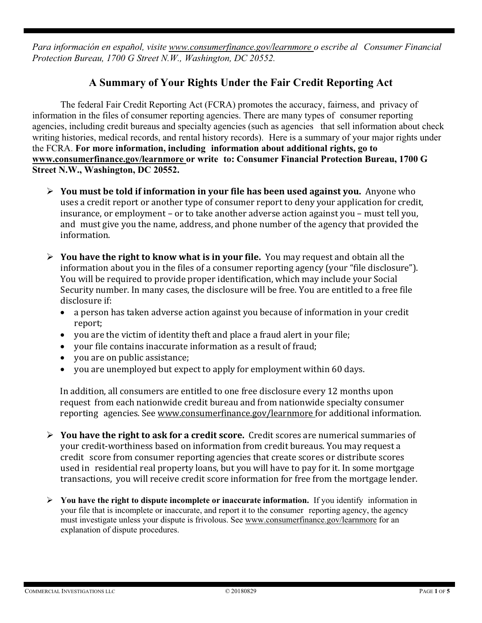Para información en español, visite www.consumerfinance.gov/learnmore o escribe al Consumer Financial Protection Bureau, 1700 G Street N.W., Washington, DC 20552.

#### A Summary of Your Rights Under the Fair Credit Reporting Act

The federal Fair Credit Reporting Act (FCRA) promotes the accuracy, fairness, and privacy of information in the files of consumer reporting agencies. There are many types of consumer reporting agencies, including credit bureaus and specialty agencies (such as agencies that sell information about check writing histories, medical records, and rental history records). Here is a summary of your major rights under the FCRA. For more information, including information about additional rights, go to www.consumerfinance.gov/learnmore or write to: Consumer Financial Protection Bureau, 1700 G Street N.W., Washington, DC 20552.

- $\triangleright$  You must be told if information in your file has been used against you. Anyone who uses a credit report or another type of consumer report to deny your application for credit, insurance, or employment – or to take another adverse action against you – must tell you. and must give you the name, address, and phone number of the agency that provided the information.
- $\triangleright$  You have the right to know what is in your file. You may request and obtain all the information about you in the files of a consumer reporting agency (your "file disclosure"). You will be required to provide proper identification, which may include your Social Security number. In many cases, the disclosure will be free. You are entitled to a free file disclosure if:
	- a person has taken adverse action against you because of information in your credit  $\bullet$ report;
	- you are the victim of identity theft and place a fraud alert in your file;  $\bullet$
	- your file contains inaccurate information as a result of fraud;  $\bullet$
	- you are on public assistance;  $\bullet$
	- you are unemployed but expect to apply for employment within 60 days.  $\bullet$

In addition, all consumers are entitled to one free disclosure every 12 months upon request from each nationwide credit bureau and from nationwide specialty consumer reporting agencies. See www.consumerfinance.gov/learnmore for additional information.

- $\triangleright$  You have the right to ask for a credit score. Credit scores are numerical summaries of your credit-worthiness based on information from credit bureaus. You may request a credit score from consumer reporting agencies that create scores or distribute scores used in residential real property loans, but you will have to pay for it. In some mortgage transactions, you will receive credit score information for free from the mortgage lender.
- $\triangleright$  You have the right to dispute incomplete or inaccurate information. If you identify information in your file that is incomplete or inaccurate, and report it to the consumer reporting agency, the agency must investigate unless your dispute is frivolous. See www.consumerfinance.gov/learnmore for an explanation of dispute procedures.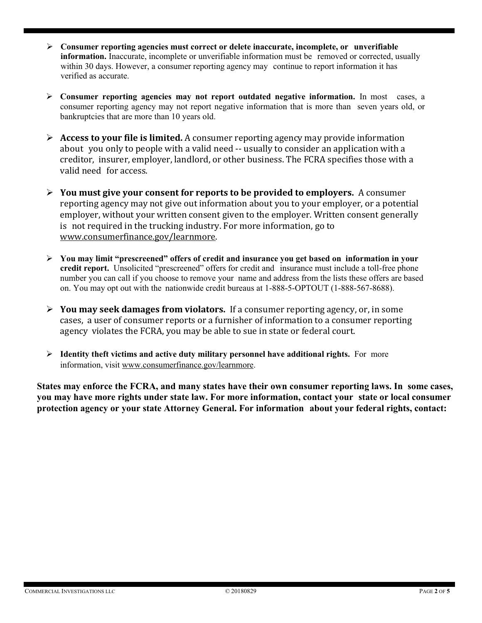- $\triangleright$  Consumer reporting agencies must correct or delete inaccurate, incomplete, or unverifiable information. Inaccurate, incomplete or unverifiable information must be removed or corrected, usually within 30 days. However, a consumer reporting agency may continue to report information it has verified as accurate.
- $\triangleright$  Consumer reporting agencies may not report outdated negative information. In most cases, a consumer reporting agency may not report negative information that is more than seven years old, or bankruptcies that are more than 10 years old.
- $\triangleright$  **Access to your file is limited.** A consumer reporting agency may provide information about you only to people with a valid need -- usually to consider an application with a creditor, insurer, employer, landlord, or other business. The FCRA specifies those with a valid need for access.
- $\triangleright$  You must give your consent for reports to be provided to employers. A consumer reporting agency may not give out information about you to your employer, or a potential employer, without your written consent given to the employer. Written consent generally is not required in the trucking industry. For more information, go to www.consumerfinance.gov/learnmore.
- $\triangleright$  You may limit "prescreened" offers of credit and insurance you get based on information in your credit report. Unsolicited "prescreened" offers for credit and insurance must include a toll-free phone number you can call if you choose to remove your name and address from the lists these offers are based on. You may opt out with the nationwide credit bureaus at 1-888-5-OPTOUT (1-888-567-8688).
- $\triangleright$  You may seek damages from violators. If a consumer reporting agency, or, in some cases, a user of consumer reports or a furnisher of information to a consumer reporting agency violates the FCRA, you may be able to sue in state or federal court.
- $\triangleright$  Identity theft victims and active duty military personnel have additional rights. For more information, visit www.consumerfinance.gov/learnmore.

States may enforce the FCRA, and many states have their own consumer reporting laws. In some cases, you may have more rights under state law. For more information, contact your state or local consumer protection agency or your state Attorney General. For information about your federal rights, contact: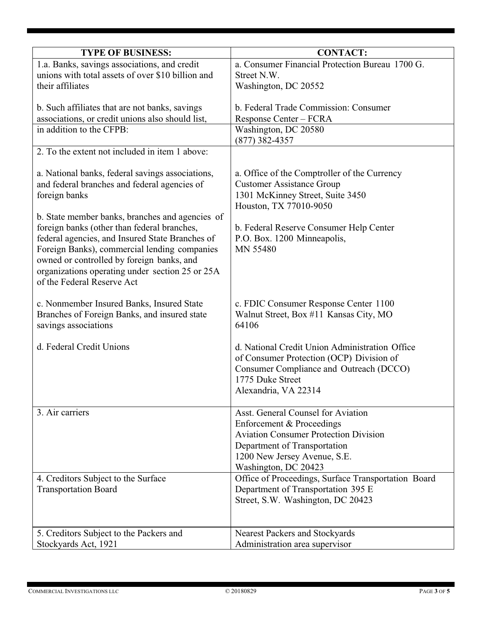| <b>TYPE OF BUSINESS:</b>                                                                                                                                                                                                                                                                                                                                                                                                                             | <b>CONTACT:</b>                                                                                                                                                                                                                             |
|------------------------------------------------------------------------------------------------------------------------------------------------------------------------------------------------------------------------------------------------------------------------------------------------------------------------------------------------------------------------------------------------------------------------------------------------------|---------------------------------------------------------------------------------------------------------------------------------------------------------------------------------------------------------------------------------------------|
| 1.a. Banks, savings associations, and credit                                                                                                                                                                                                                                                                                                                                                                                                         | a. Consumer Financial Protection Bureau 1700 G.                                                                                                                                                                                             |
| unions with total assets of over \$10 billion and                                                                                                                                                                                                                                                                                                                                                                                                    | Street N.W.                                                                                                                                                                                                                                 |
| their affiliates                                                                                                                                                                                                                                                                                                                                                                                                                                     | Washington, DC 20552                                                                                                                                                                                                                        |
|                                                                                                                                                                                                                                                                                                                                                                                                                                                      |                                                                                                                                                                                                                                             |
| b. Such affiliates that are not banks, savings                                                                                                                                                                                                                                                                                                                                                                                                       | b. Federal Trade Commission: Consumer                                                                                                                                                                                                       |
| associations, or credit unions also should list,                                                                                                                                                                                                                                                                                                                                                                                                     | Response Center – FCRA                                                                                                                                                                                                                      |
| in addition to the CFPB:                                                                                                                                                                                                                                                                                                                                                                                                                             | Washington, DC 20580                                                                                                                                                                                                                        |
|                                                                                                                                                                                                                                                                                                                                                                                                                                                      | $(877)$ 382-4357                                                                                                                                                                                                                            |
| 2. To the extent not included in item 1 above:                                                                                                                                                                                                                                                                                                                                                                                                       |                                                                                                                                                                                                                                             |
| a. National banks, federal savings associations,<br>and federal branches and federal agencies of<br>foreign banks<br>b. State member banks, branches and agencies of<br>foreign banks (other than federal branches,<br>federal agencies, and Insured State Branches of<br>Foreign Banks), commercial lending companies<br>owned or controlled by foreign banks, and<br>organizations operating under section 25 or 25A<br>of the Federal Reserve Act | a. Office of the Comptroller of the Currency<br><b>Customer Assistance Group</b><br>1301 McKinney Street, Suite 3450<br>Houston, TX 77010-9050<br>b. Federal Reserve Consumer Help Center<br>P.O. Box. 1200 Minneapolis,<br><b>MN 55480</b> |
| c. Nonmember Insured Banks, Insured State<br>Branches of Foreign Banks, and insured state<br>savings associations                                                                                                                                                                                                                                                                                                                                    | c. FDIC Consumer Response Center 1100<br>Walnut Street, Box #11 Kansas City, MO<br>64106                                                                                                                                                    |
| d. Federal Credit Unions                                                                                                                                                                                                                                                                                                                                                                                                                             | d. National Credit Union Administration Office<br>of Consumer Protection (OCP) Division of<br>Consumer Compliance and Outreach (DCCO)<br>1775 Duke Street<br>Alexandria, VA 22314                                                           |
| 3. Air carriers                                                                                                                                                                                                                                                                                                                                                                                                                                      | Asst. General Counsel for Aviation<br>Enforcement & Proceedings<br><b>Aviation Consumer Protection Division</b><br>Department of Transportation<br>1200 New Jersey Avenue, S.E.<br>Washington, DC 20423                                     |
| 4. Creditors Subject to the Surface                                                                                                                                                                                                                                                                                                                                                                                                                  | Office of Proceedings, Surface Transportation Board                                                                                                                                                                                         |
| <b>Transportation Board</b>                                                                                                                                                                                                                                                                                                                                                                                                                          | Department of Transportation 395 E                                                                                                                                                                                                          |
|                                                                                                                                                                                                                                                                                                                                                                                                                                                      | Street, S.W. Washington, DC 20423                                                                                                                                                                                                           |
|                                                                                                                                                                                                                                                                                                                                                                                                                                                      |                                                                                                                                                                                                                                             |
| 5. Creditors Subject to the Packers and                                                                                                                                                                                                                                                                                                                                                                                                              | <b>Nearest Packers and Stockyards</b>                                                                                                                                                                                                       |
| Stockyards Act, 1921                                                                                                                                                                                                                                                                                                                                                                                                                                 | Administration area supervisor                                                                                                                                                                                                              |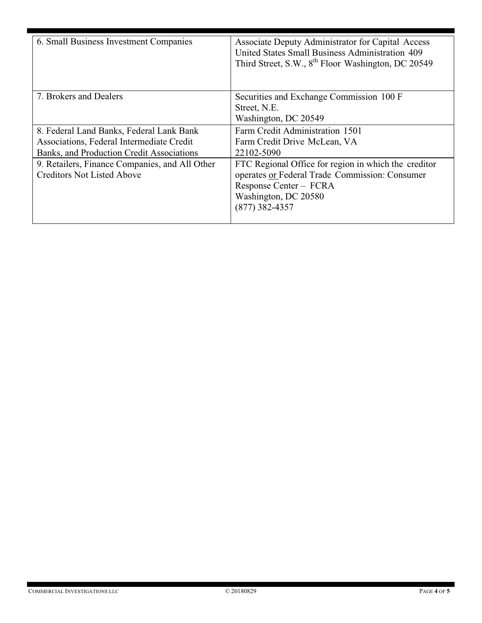| 6. Small Business Investment Companies         | Associate Deputy Administrator for Capital Access<br>United States Small Business Administration 409<br>Third Street, S.W., 8 <sup>th</sup> Floor Washington, DC 20549 |
|------------------------------------------------|------------------------------------------------------------------------------------------------------------------------------------------------------------------------|
| 7. Brokers and Dealers                         | Securities and Exchange Commission 100 F                                                                                                                               |
|                                                | Street, N.E.                                                                                                                                                           |
|                                                | Washington, DC 20549                                                                                                                                                   |
| 8. Federal Land Banks, Federal Lank Bank       | Farm Credit Administration 1501                                                                                                                                        |
| Associations, Federal Intermediate Credit      | Farm Credit Drive McLean, VA                                                                                                                                           |
| Banks, and Production Credit Associations      | 22102-5090                                                                                                                                                             |
| 9. Retailers, Finance Companies, and All Other | FTC Regional Office for region in which the creditor                                                                                                                   |
| <b>Creditors Not Listed Above</b>              | operates or Federal Trade Commission: Consumer                                                                                                                         |
|                                                | Response Center - FCRA                                                                                                                                                 |
|                                                | Washington, DC 20580                                                                                                                                                   |
|                                                | $(877)$ 382-4357                                                                                                                                                       |
|                                                |                                                                                                                                                                        |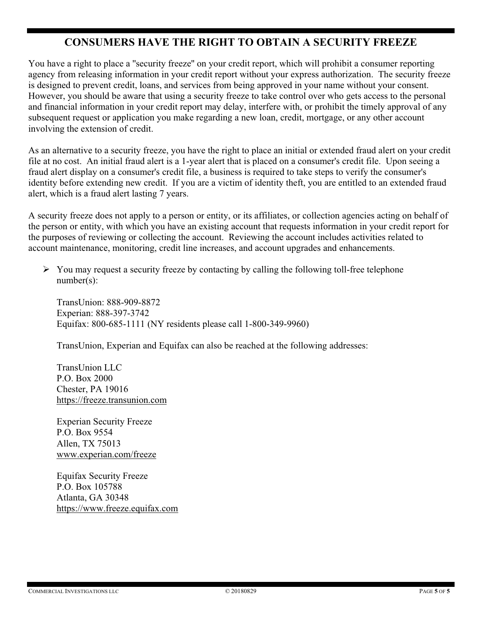#### **CONSUMERS HAVE THE RIGHT TO OBTAIN A SECURITY FREEZE**

You have a right to place a "security freeze" on your credit report, which will prohibit a consumer reporting agency from releasing information in your credit report without your express authorization. The security freeze is designed to prevent credit, loans, and services from being approved in your name without your consent. However, you should be aware that using a security freeze to take control over who gets access to the personal and financial information in your credit report may delay, interfere with, or prohibit the timely approval of any subsequent request or application you make regarding a new loan, credit, mortgage, or any other account involving the extension of credit.

As an alternative to a security freeze, you have the right to place an initial or extended fraud alert on your credit file at no cost. An initial fraud alert is a 1-year alert that is placed on a consumer's credit file. Upon seeing a fraud alert display on a consumer's credit file, a business is required to take steps to verify the consumer's identity before extending new credit. If you are a victim of identity theft, you are entitled to an extended fraud alert, which is a fraud alert lasting 7 years.

A security freeze does not apply to a person or entity, or its affiliates, or collection agencies acting on behalf of the person or entity, with which you have an existing account that requests information in your credit report for the purposes of reviewing or collecting the account. Reviewing the account includes activities related to account maintenance, monitoring, credit line increases, and account upgrades and enhancements.

 $\triangleright$  You may request a security freeze by contacting by calling the following toll-free telephone  $number(s)$ :

TransUnion: 888-909-8872 Experian: 888-397-3742 Equifax: 800-685-1111 (NY residents please call 1-800-349-9960)

TransUnion, Experian and Equifax can also be reached at the following addresses:

TransUnion LLC  $P O Box 2000$ Chester, PA 19016 https://freeze.transunion.com

**Experian Security Freeze** P.O. Box 9554 Allen, TX 75013 www.experian.com/freeze

**Equifax Security Freeze** P.O. Box 105788 Atlanta, GA 30348 https://www.freeze.equifax.com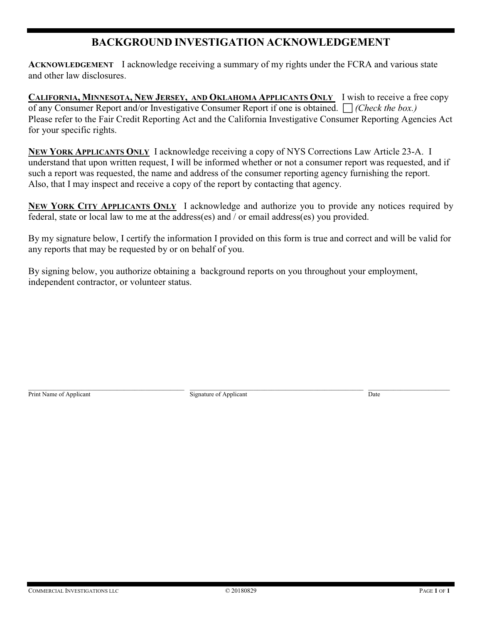#### **BACKGROUND INVESTIGATION ACKNOWLEDGEMENT**

**ACKNOWLEDGEMENT** I acknowledge receiving a summary of my rights under the FCRA and various state and other law disclosures.

**CALIFORNIA, MINNESOTA, NEW JERSEY, AND OKLAHOMA APPLICANTS ONLY** I wish to receive a free copy of any Consumer Report and/or Investigative Consumer Report if one is obtained.  $\Box$  (Check the box.) Please refer to the Fair Credit Reporting Act and the California Investigative Consumer Reporting Agencies Act for your specific rights.

**NEW YORK APPLICANTS ONLY** I acknowledge receiving a copy of NYS Corrections Law Article 23-A. I understand that upon written request, I will be informed whether or not a consumer report was requested, and if such a report was requested, the name and address of the consumer reporting agency furnishing the report. Also, that I may inspect and receive a copy of the report by contacting that agency.

**NEW YORK CITY APPLICANTS ONLY** I acknowledge and authorize you to provide any notices required by federal, state or local law to me at the address(es) and / or email address(es) you provided.

By my signature below, I certify the information I provided on this form is true and correct and will be valid for any reports that may be requested by or on behalf of you.

By signing below, you authorize obtaining a background reports on you throughout your employment, independent contractor, or volunteer status.

\_\_\_\_\_\_\_\_\_\_\_\_\_\_\_\_\_\_\_\_\_\_\_\_\_\_\_\_\_\_\_\_\_\_\_\_\_\_\_\_\_\_\_\_ \_\_\_\_\_\_\_\_\_\_\_\_\_\_\_\_\_\_\_\_\_\_\_\_\_\_\_\_\_\_\_\_\_\_\_\_\_\_\_\_\_\_\_\_\_\_\_\_\_ \_\_\_\_\_\_\_\_\_\_\_\_\_\_\_\_\_\_\_\_\_\_\_ Print Name of Applicant Date of Applicant Signature of Applicant Date Date Date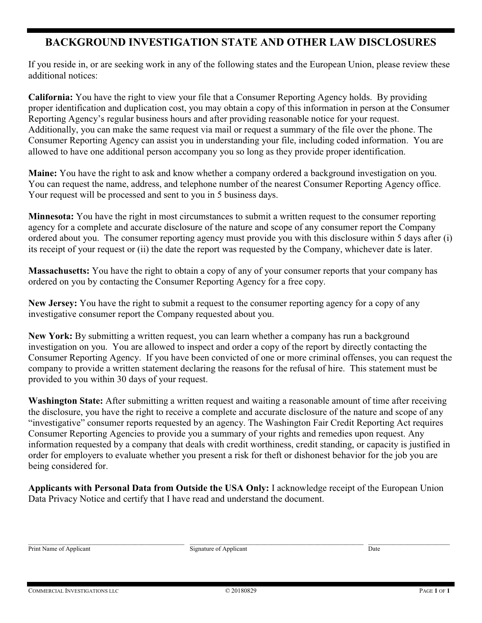### **BACKGROUND INVESTIGATION STATE AND OTHER LAW DISCLOSURES**

If you reside in, or are seeking work in any of the following states and the European Union, please review these additional notices:

**California:** You have the right to view your file that a Consumer Reporting Agency holds. By providing proper identification and duplication cost, you may obtain a copy of this information in person at the Consumer Reporting Agency's regular business hours and after providing reasonable notice for your request. Additionally, you can make the same request via mail or request a summary of the file over the phone. The Consumer Reporting Agency can assist you in understanding your file, including coded information. You are allowed to have one additional person accompany you so long as they provide proper identification.

**Maine:** You have the right to ask and know whether a company ordered a background investigation on you. You can request the name, address, and telephone number of the nearest Consumer Reporting Agency office. Your request will be processed and sent to you in 5 business days.

**Minnesota:** You have the right in most circumstances to submit a written request to the consumer reporting agency for a complete and accurate disclosure of the nature and scope of any consumer report the Company ordered about you. The consumer reporting agency must provide you with this disclosure within 5 days after (i) its receipt of your request or (ii) the date the report was requested by the Company, whichever date is later.

**Massachusetts:** You have the right to obtain a copy of any of your consumer reports that your company has ordered on you by contacting the Consumer Reporting Agency for a free copy.

**New Jersey:** You have the right to submit a request to the consumer reporting agency for a copy of any investigative consumer report the Company requested about you.

**New York:** By submitting a written request, you can learn whether a company has run a background investigation on you. You are allowed to inspect and order a copy of the report by directly contacting the Consumer Reporting Agency. If you have been convicted of one or more criminal offenses, you can request the company to provide a written statement declaring the reasons for the refusal of hire. This statement must be provided to you within 30 days of your request.

**Washington State:** After submitting a written request and waiting a reasonable amount of time after receiving the disclosure, you have the right to receive a complete and accurate disclosure of the nature and scope of any "investigative" consumer reports requested by an agency. The Washington Fair Credit Reporting Act requires Consumer Reporting Agencies to provide you a summary of your rights and remedies upon request. Any information requested by a company that deals with credit worthiness, credit standing, or capacity is justified in order for employers to evaluate whether you present a risk for theft or dishonest behavior for the job you are being considered for.

**Applicants with Personal Data from Outside the USA Only:** I acknowledge receipt of the European Union Data Privacy Notice and certify that I have read and understand the document.

\_\_\_\_\_\_\_\_\_\_\_\_\_\_\_\_\_\_\_\_\_\_\_\_\_\_\_\_\_\_\_\_\_\_\_\_\_\_\_\_\_\_\_\_ \_\_\_\_\_\_\_\_\_\_\_\_\_\_\_\_\_\_\_\_\_\_\_\_\_\_\_\_\_\_\_\_\_\_\_\_\_\_\_\_\_\_\_\_\_\_\_\_\_ \_\_\_\_\_\_\_\_\_\_\_\_\_\_\_\_\_\_\_\_\_\_\_ Print Name of Applicant Date of Applicant Signature of Applicant Date Date Date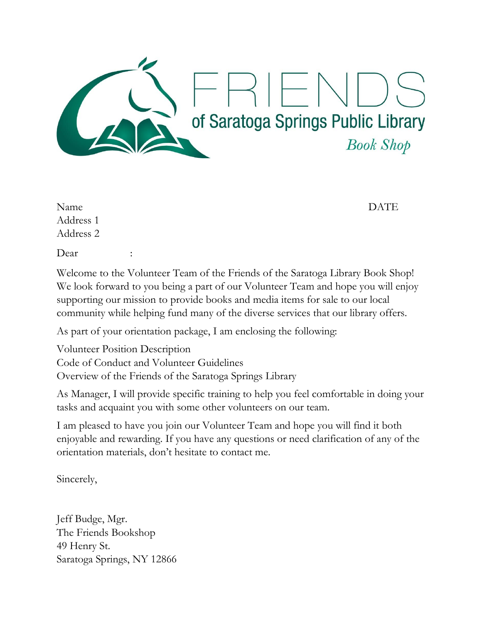

Name DATE Address 1 Address 2

Dear

Welcome to the Volunteer Team of the Friends of the Saratoga Library Book Shop! We look forward to you being a part of our Volunteer Team and hope you will enjoy supporting our mission to provide books and media items for sale to our local community while helping fund many of the diverse services that our library offers.

As part of your orientation package, I am enclosing the following:

Volunteer Position Description Code of Conduct and Volunteer Guidelines Overview of the Friends of the Saratoga Springs Library

As Manager, I will provide specific training to help you feel comfortable in doing your tasks and acquaint you with some other volunteers on our team.

I am pleased to have you join our Volunteer Team and hope you will find it both enjoyable and rewarding. If you have any questions or need clarification of any of the orientation materials, don't hesitate to contact me.

Sincerely,

Jeff Budge, Mgr. The Friends Bookshop 49 Henry St. Saratoga Springs, NY 12866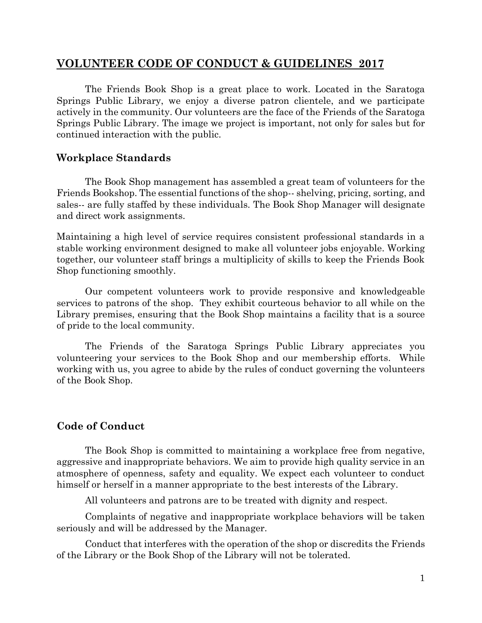#### **VOLUNTEER CODE OF CONDUCT & GUIDELINES 2017**

The Friends Book Shop is a great place to work. Located in the Saratoga Springs Public Library, we enjoy a diverse patron clientele, and we participate actively in the community. Our volunteers are the face of the Friends of the Saratoga Springs Public Library. The image we project is important, not only for sales but for continued interaction with the public.

#### **Workplace Standards**

The Book Shop management has assembled a great team of volunteers for the Friends Bookshop. The essential functions of the shop-- shelving, pricing, sorting, and sales-- are fully staffed by these individuals. The Book Shop Manager will designate and direct work assignments.

Maintaining a high level of service requires consistent professional standards in a stable working environment designed to make all volunteer jobs enjoyable. Working together, our volunteer staff brings a multiplicity of skills to keep the Friends Book Shop functioning smoothly.

Our competent volunteers work to provide responsive and knowledgeable services to patrons of the shop. They exhibit courteous behavior to all while on the Library premises, ensuring that the Book Shop maintains a facility that is a source of pride to the local community.

The Friends of the Saratoga Springs Public Library appreciates you volunteering your services to the Book Shop and our membership efforts. While working with us, you agree to abide by the rules of conduct governing the volunteers of the Book Shop.

#### **Code of Conduct**

The Book Shop is committed to maintaining a workplace free from negative, aggressive and inappropriate behaviors. We aim to provide high quality service in an atmosphere of openness, safety and equality. We expect each volunteer to conduct himself or herself in a manner appropriate to the best interests of the Library.

All volunteers and patrons are to be treated with dignity and respect.

Complaints of negative and inappropriate workplace behaviors will be taken seriously and will be addressed by the Manager.

Conduct that interferes with the operation of the shop or discredits the Friends of the Library or the Book Shop of the Library will not be tolerated.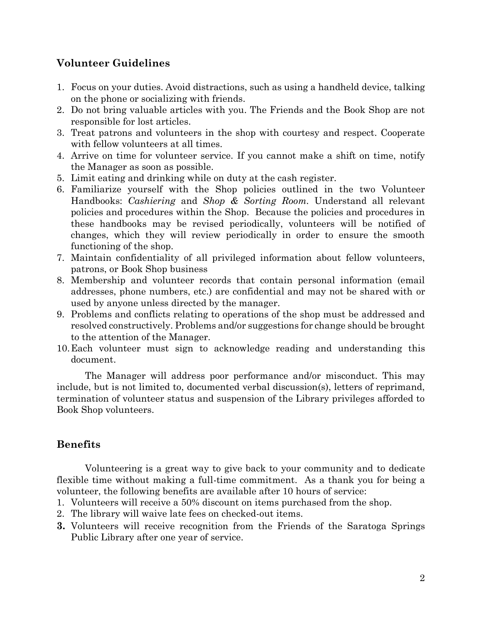#### **Volunteer Guidelines**

- 1. Focus on your duties. Avoid distractions, such as using a handheld device, talking on the phone or socializing with friends.
- 2. Do not bring valuable articles with you. The Friends and the Book Shop are not responsible for lost articles.
- 3. Treat patrons and volunteers in the shop with courtesy and respect. Cooperate with fellow volunteers at all times.
- 4. Arrive on time for volunteer service. If you cannot make a shift on time, notify the Manager as soon as possible.
- 5. Limit eating and drinking while on duty at the cash register.
- 6. Familiarize yourself with the Shop policies outlined in the two Volunteer Handbooks: *Cashiering* and *Shop & Sorting Room.* Understand all relevant policies and procedures within the Shop. Because the policies and procedures in these handbooks may be revised periodically, volunteers will be notified of changes, which they will review periodically in order to ensure the smooth functioning of the shop.
- 7. Maintain confidentiality of all privileged information about fellow volunteers, patrons, or Book Shop business
- 8. Membership and volunteer records that contain personal information (email addresses, phone numbers, etc.) are confidential and may not be shared with or used by anyone unless directed by the manager.
- 9. Problems and conflicts relating to operations of the shop must be addressed and resolved constructively. Problems and/or suggestions for change should be brought to the attention of the Manager.
- 10.Each volunteer must sign to acknowledge reading and understanding this document.

The Manager will address poor performance and/or misconduct. This may include, but is not limited to, documented verbal discussion(s), letters of reprimand, termination of volunteer status and suspension of the Library privileges afforded to Book Shop volunteers.

#### **Benefits**

Volunteering is a great way to give back to your community and to dedicate flexible time without making a full-time commitment. As a thank you for being a volunteer, the following benefits are available after 10 hours of service:

- 1. Volunteers will receive a 50% discount on items purchased from the shop.
- 2. The library will waive late fees on checked-out items.
- **3.** Volunteers will receive recognition from the Friends of the Saratoga Springs Public Library after one year of service.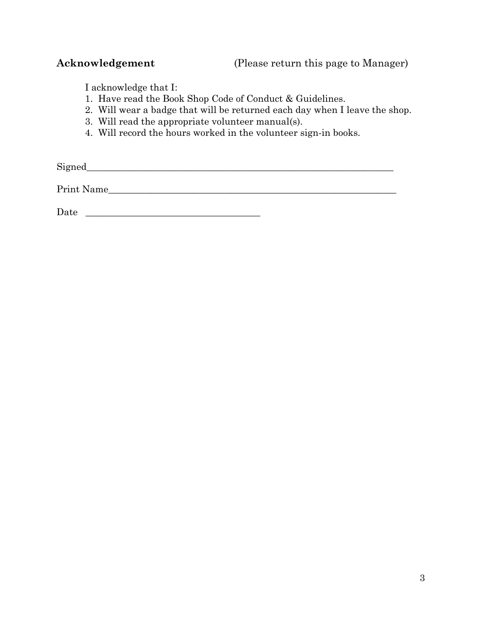I acknowledge that I:

- 1. Have read the Book Shop Code of Conduct & Guidelines.
- 2. Will wear a badge that will be returned each day when I leave the shop.
- 3. Will read the appropriate volunteer manual(s).
- 4. Will record the hours worked in the volunteer sign-in books.

Signed\_\_\_\_\_\_\_\_\_\_\_\_\_\_\_\_\_\_\_\_\_\_\_\_\_\_\_\_\_\_\_\_\_\_\_\_\_\_\_\_\_\_\_\_\_\_\_\_\_\_\_\_\_\_\_\_\_\_\_\_\_\_\_\_\_

Print Name\_\_\_\_\_\_\_\_\_\_\_\_\_\_\_\_\_\_\_\_\_\_\_\_\_\_\_\_\_\_\_\_\_\_\_\_\_\_\_\_\_\_\_\_\_\_\_\_\_\_\_\_\_\_\_\_\_\_\_\_\_

 $\text{Date}$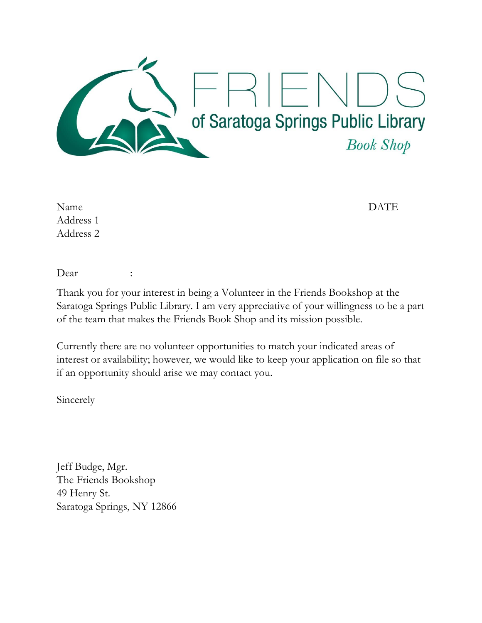

Name DATE Address 1 Address 2

Dear :

Thank you for your interest in being a Volunteer in the Friends Bookshop at the Saratoga Springs Public Library. I am very appreciative of your willingness to be a part of the team that makes the Friends Book Shop and its mission possible.

Currently there are no volunteer opportunities to match your indicated areas of interest or availability; however, we would like to keep your application on file so that if an opportunity should arise we may contact you.

Sincerely

Jeff Budge, Mgr. The Friends Bookshop 49 Henry St. Saratoga Springs, NY 12866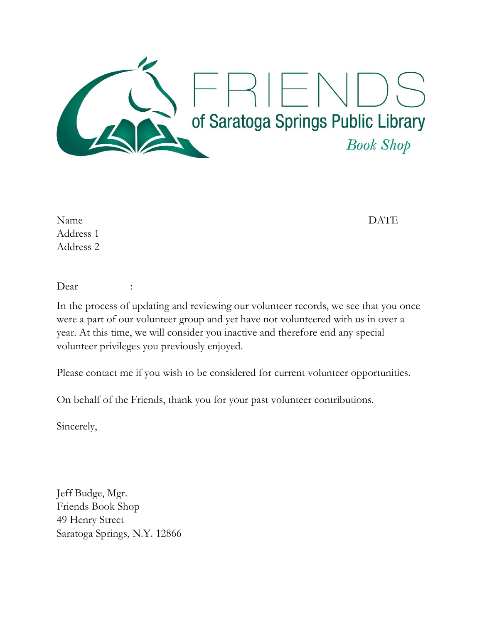

Name DATE Address 1 Address 2

Dear :

In the process of updating and reviewing our volunteer records, we see that you once were a part of our volunteer group and yet have not volunteered with us in over a year. At this time, we will consider you inactive and therefore end any special volunteer privileges you previously enjoyed.

Please contact me if you wish to be considered for current volunteer opportunities.

On behalf of the Friends, thank you for your past volunteer contributions.

Sincerely,

Jeff Budge, Mgr. Friends Book Shop 49 Henry Street Saratoga Springs, N.Y. 12866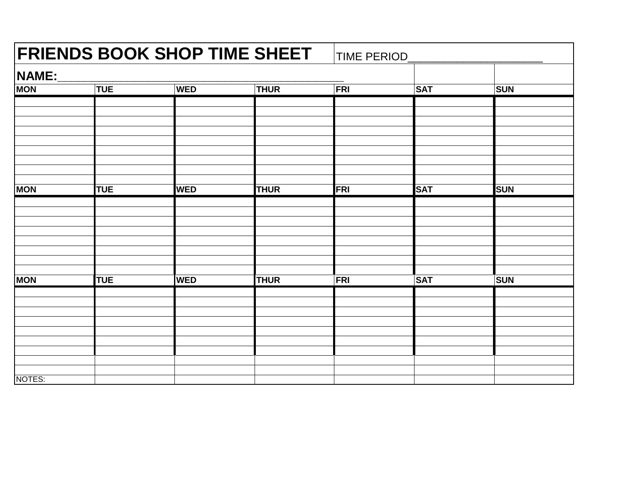|            |            | FRIENDS BOOK SHOP TIME SHEET |             | TIME PERIOD_ |            |            |
|------------|------------|------------------------------|-------------|--------------|------------|------------|
| NAME:      |            |                              |             |              |            |            |
| <b>MON</b> | <b>TUE</b> | <b>WED</b>                   | <b>THUR</b> | FRI          | <b>SAT</b> | <b>SUN</b> |
|            |            |                              |             |              |            |            |
|            |            |                              |             |              |            |            |
|            |            |                              |             |              |            |            |
|            |            |                              |             |              |            |            |
|            |            |                              |             |              |            |            |
| <b>MON</b> | <b>TUE</b> | <b>WED</b>                   | <b>THUR</b> | <b>FRI</b>   | <b>SAT</b> | <b>SUN</b> |
|            |            |                              |             |              |            |            |
|            |            |                              |             |              |            |            |
|            |            |                              |             |              |            |            |
|            |            |                              |             |              |            |            |
|            |            |                              |             |              |            |            |
|            | <b>TUE</b> | <b>WED</b>                   |             |              |            | <b>SUN</b> |
| <b>MON</b> |            |                              | <b>THUR</b> | FRI          | <b>SAT</b> |            |
|            |            |                              |             |              |            |            |
|            |            |                              |             |              |            |            |
|            |            |                              |             |              |            |            |
|            |            |                              |             |              |            |            |
|            |            |                              |             |              |            |            |
| NOTES:     |            |                              |             |              |            |            |